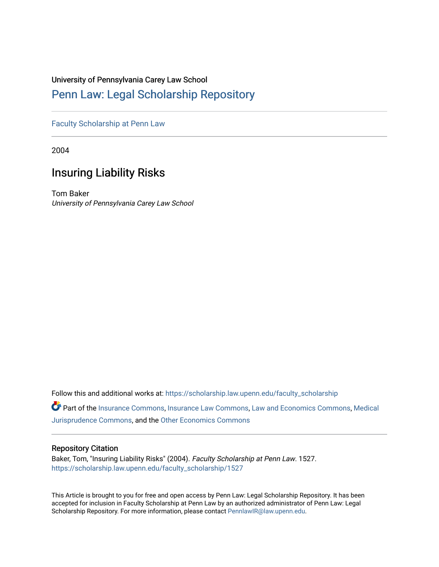## University of Pennsylvania Carey Law School

# [Penn Law: Legal Scholarship Repository](https://scholarship.law.upenn.edu/)

[Faculty Scholarship at Penn Law](https://scholarship.law.upenn.edu/faculty_scholarship)

2004

# Insuring Liability Risks

Tom Baker University of Pennsylvania Carey Law School

Follow this and additional works at: [https://scholarship.law.upenn.edu/faculty\\_scholarship](https://scholarship.law.upenn.edu/faculty_scholarship?utm_source=scholarship.law.upenn.edu%2Ffaculty_scholarship%2F1527&utm_medium=PDF&utm_campaign=PDFCoverPages) 

Part of the [Insurance Commons](http://network.bepress.com/hgg/discipline/645?utm_source=scholarship.law.upenn.edu%2Ffaculty_scholarship%2F1527&utm_medium=PDF&utm_campaign=PDFCoverPages), [Insurance Law Commons,](http://network.bepress.com/hgg/discipline/607?utm_source=scholarship.law.upenn.edu%2Ffaculty_scholarship%2F1527&utm_medium=PDF&utm_campaign=PDFCoverPages) [Law and Economics Commons](http://network.bepress.com/hgg/discipline/612?utm_source=scholarship.law.upenn.edu%2Ffaculty_scholarship%2F1527&utm_medium=PDF&utm_campaign=PDFCoverPages), [Medical](http://network.bepress.com/hgg/discipline/860?utm_source=scholarship.law.upenn.edu%2Ffaculty_scholarship%2F1527&utm_medium=PDF&utm_campaign=PDFCoverPages)  [Jurisprudence Commons](http://network.bepress.com/hgg/discipline/860?utm_source=scholarship.law.upenn.edu%2Ffaculty_scholarship%2F1527&utm_medium=PDF&utm_campaign=PDFCoverPages), and the [Other Economics Commons](http://network.bepress.com/hgg/discipline/353?utm_source=scholarship.law.upenn.edu%2Ffaculty_scholarship%2F1527&utm_medium=PDF&utm_campaign=PDFCoverPages) 

### Repository Citation

Baker, Tom, "Insuring Liability Risks" (2004). Faculty Scholarship at Penn Law. 1527. [https://scholarship.law.upenn.edu/faculty\\_scholarship/1527](https://scholarship.law.upenn.edu/faculty_scholarship/1527?utm_source=scholarship.law.upenn.edu%2Ffaculty_scholarship%2F1527&utm_medium=PDF&utm_campaign=PDFCoverPages)

This Article is brought to you for free and open access by Penn Law: Legal Scholarship Repository. It has been accepted for inclusion in Faculty Scholarship at Penn Law by an authorized administrator of Penn Law: Legal Scholarship Repository. For more information, please contact [PennlawIR@law.upenn.edu.](mailto:PennlawIR@law.upenn.edu)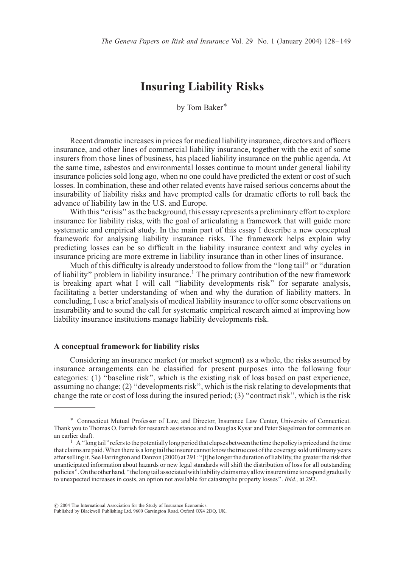## Insuring Liability Risks

by Tom Baker

Recent dramatic increases in prices for medical liability insurance, directors and officers insurance, and other lines of commercial liability insurance, together with the exit of some insurers from those lines of business, has placed liability insurance on the public agenda. At the same time, asbestos and environmental losses continue to mount under general liability insurance policies sold long ago, when no one could have predicted the extent or cost of such losses. In combination, these and other related events have raised serious concerns about the insurability of liability risks and have prompted calls for dramatic efforts to roll back the advance of liability law in the U.S. and Europe.

With this "crisis" as the background, this essay represents a preliminary effort to explore insurance for liability risks, with the goal of articulating a framework that will guide more systematic and empirical study. In the main part of this essay I describe a new conceptual framework for analysing liability insurance risks. The framework helps explain why predicting losses can be so difficult in the liability insurance context and why cycles in insurance pricing are more extreme in liability insurance than in other lines of insurance.

Much of this difficulty is already understood to follow from the ''long tail'' or ''duration of liability'' problem in liability insurance.<sup>1</sup> The primary contribution of the new framework is breaking apart what I will call ''liability developments risk'' for separate analysis, facilitating a better understanding of when and why the duration of liability matters. In concluding, I use a brief analysis of medical liability insurance to offer some observations on insurability and to sound the call for systematic empirical research aimed at improving how liability insurance institutions manage liability developments risk.

#### A conceptual framework for liability risks

Considering an insurance market (or market segment) as a whole, the risks assumed by insurance arrangements can be classified for present purposes into the following four categories: (1) ''baseline risk'', which is the existing risk of loss based on past experience, assuming no change; (2) ''developments risk'', which is the risk relating to developments that change the rate or cost of loss during the insured period; (3) ''contract risk'', which is the risk

Connecticut Mutual Professor of Law, and Director, Insurance Law Center, University of Connecticut. Thank you to Thomas O. Farrish for research assistance and to Douglas Kysar and Peter Siegelman for comments on an earlier draft.<br><sup>1</sup> A "long tail" refers to the potentially long period that elapses between the time the policy is priced and the time

that claims are paid.Whenthereis alongtailtheinsurer cannot knowthetrue cost ofthe coverage sold until many years after selling it. See Harrington and Danzon (2000) at 291: ''[t]he longer the duration of liability, the greater the risk that unanticipated information about hazards or new legal standards will shift the distribution of loss for all outstanding policies''. Onthe other hand, ''thelongtail associatedwithliabilityclaimsmay allowinsurerstimeto respond gradually to unexpected increases in costs, an option not available for catastrophe property losses". Ibid., at 292.

 $\odot$  2004 The International Association for the Study of Insurance Economics. Published by Blackwell Publishing Ltd, 9600 Garsington Road, Oxford OX4 2DQ, UK.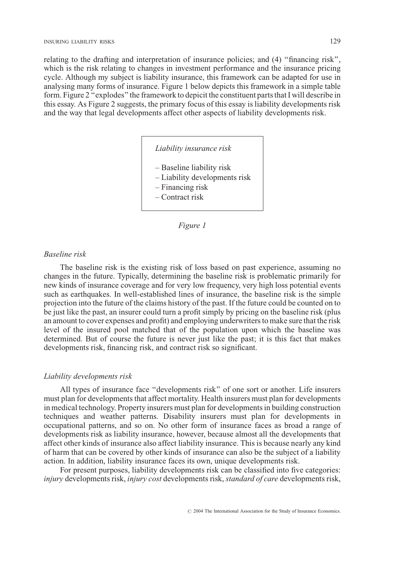relating to the drafting and interpretation of insurance policies; and (4) ''financing risk'', which is the risk relating to changes in investment performance and the insurance pricing cycle. Although my subject is liability insurance, this framework can be adapted for use in analysing many forms of insurance. Figure 1 below depicts this framework in a simple table form. Figure 2 ''explodes''the framework to depicit the constituent parts that I will describe in this essay. As Figure 2 suggests, the primary focus of this essay is liability developments risk and the way that legal developments affect other aspects of liability developments risk.

> *Liability insurance risk* – Baseline liability risk – Liability developments risk – Financing risk – Contract risk

Figure 1

#### Baseline risk

The baseline risk is the existing risk of loss based on past experience, assuming no changes in the future. Typically, determining the baseline risk is problematic primarily for new kinds of insurance coverage and for very low frequency, very high loss potential events such as earthquakes. In well-established lines of insurance, the baseline risk is the simple projection into the future of the claims history of the past. If the future could be counted on to be just like the past, an insurer could turn a profit simply by pricing on the baseline risk (plus an amount to cover expenses and profit) and employing underwriters to make sure that the risk level of the insured pool matched that of the population upon which the baseline was determined. But of course the future is never just like the past; it is this fact that makes developments risk, financing risk, and contract risk so significant.

#### Liability developments risk

All types of insurance face ''developments risk'' of one sort or another. Life insurers must plan for developments that affect mortality. Health insurers must plan for developments in medical technology. Property insurers must plan for developments in building construction techniques and weather patterns. Disability insurers must plan for developments in occupational patterns, and so on. No other form of insurance faces as broad a range of developments risk as liability insurance, however, because almost all the developments that affect other kinds of insurance also affect liability insurance. This is because nearly any kind of harm that can be covered by other kinds of insurance can also be the subject of a liability action. In addition, liability insurance faces its own, unique developments risk.

For present purposes, liability developments risk can be classified into five categories: injury developments risk, injury cost developments risk, standard of care developments risk,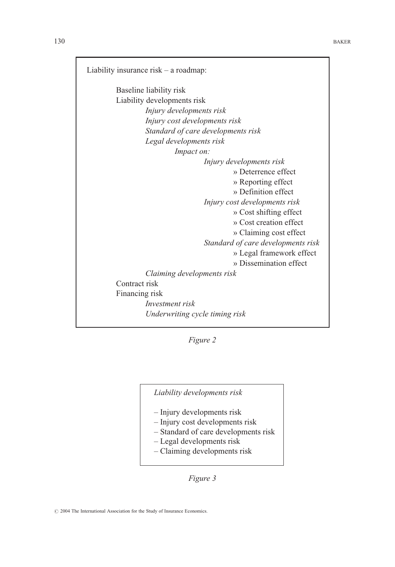```
Liability insurance risk – a roadmap:
Baseline liability risk
Liability developments risk
         Injury developments risk
         Injury cost developments risk
         Standard of care developments risk
         Legal developments risk
                  Impact on:
                           Injury developments risk
                                    » Deterrence effect
                                    » Reporting effect
                                    » Definition effect
                           Injury cost developments risk
                                    » Cost shifting effect
                                    » Cost creation effect
                                    » Claiming cost effect
                           Standard of care developments risk
                                    » Legal framework effect
                                    » Dissemination effect
         Claiming developments risk
Contract risk
Financing risk
         Investment risk
         Underwriting cycle timing risk
```
Figure 2

*Liability developments risk*

- Injury developments risk
- Injury cost developments risk
- Standard of care developments risk
- Legal developments risk
- Claiming developments risk

Figure 3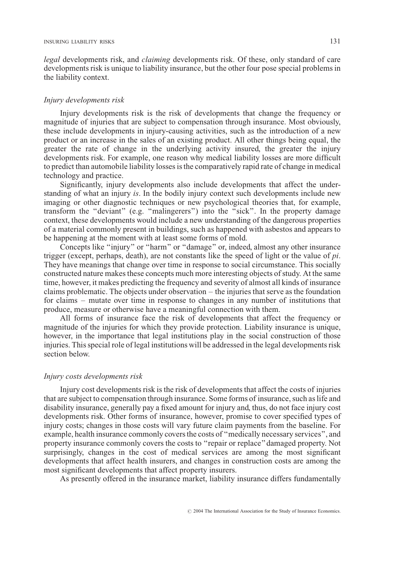legal developments risk, and claiming developments risk. Of these, only standard of care developments risk is unique to liability insurance, but the other four pose special problems in the liability context.

#### Injury developments risk

Injury developments risk is the risk of developments that change the frequency or magnitude of injuries that are subject to compensation through insurance. Most obviously, these include developments in injury-causing activities, such as the introduction of a new product or an increase in the sales of an existing product. All other things being equal, the greater the rate of change in the underlying activity insured, the greater the injury developments risk. For example, one reason why medical liability losses are more difficult to predict than automobile liability losses is the comparatively rapid rate of change in medical technology and practice.

Significantly, injury developments also include developments that affect the understanding of what an injury is. In the bodily injury context such developments include new imaging or other diagnostic techniques or new psychological theories that, for example, transform the "deviant" (e.g. "malingerers") into the "sick". In the property damage context, these developments would include a new understanding of the dangerous properties of a material commonly present in buildings, such as happened with asbestos and appears to be happening at the moment with at least some forms of mold.

Concepts like ''injury'' or ''harm'' or ''damage'' or, indeed, almost any other insurance trigger (except, perhaps, death), are not constants like the speed of light or the value of pi. They have meanings that change over time in response to social circumstance. This socially constructed nature makes these concepts much more interesting objects of study. At the same time, however, it makes predicting the frequency and severity of almost all kinds of insurance claims problematic. The objects under observation – the injuries that serve as the foundation for claims – mutate over time in response to changes in any number of institutions that produce, measure or otherwise have a meaningful connection with them.

All forms of insurance face the risk of developments that affect the frequency or magnitude of the injuries for which they provide protection. Liability insurance is unique, however, in the importance that legal institutions play in the social construction of those injuries. This special role of legal institutions will be addressed in the legal developments risk section below.

#### Injury costs developments risk

Injury cost developments risk is the risk of developments that affect the costs of injuries that are subject to compensation through insurance. Some forms of insurance, such as life and disability insurance, generally pay a fixed amount for injury and, thus, do not face injury cost developments risk. Other forms of insurance, however, promise to cover specified types of injury costs; changes in those costs will vary future claim payments from the baseline. For example, health insurance commonly covers the costs of ''medically necessary services'', and property insurance commonly covers the costs to ''repair or replace''damaged property. Not surprisingly, changes in the cost of medical services are among the most significant developments that affect health insurers, and changes in construction costs are among the most significant developments that affect property insurers.

As presently offered in the insurance market, liability insurance differs fundamentally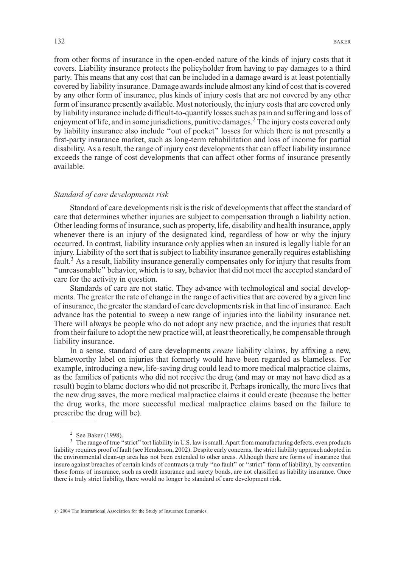from other forms of insurance in the open-ended nature of the kinds of injury costs that it covers. Liability insurance protects the policyholder from having to pay damages to a third party. This means that any cost that can be included in a damage award is at least potentially covered by liability insurance. Damage awards include almost any kind of cost that is covered by any other form of insurance, plus kinds of injury costs that are not covered by any other form of insurance presently available. Most notoriously, the injury costs that are covered only by liability insurance include difficult-to-quantify losses such as pain and suffering and loss of enjoyment of life, and in some jurisdictions, punitive damages.<sup>2</sup> The injury costs covered only by liability insurance also include ''out of pocket'' losses for which there is not presently a first-party insurance market, such as long-term rehabilitation and loss of income for partial disability. As a result, the range of injury cost developments that can affect liability insurance exceeds the range of cost developments that can affect other forms of insurance presently available.

#### Standard of care developments risk

Standard of care developments risk is the risk of developments that affect the standard of care that determines whether injuries are subject to compensation through a liability action. Other leading forms of insurance, such as property, life, disability and health insurance, apply whenever there is an injury of the designated kind, regardless of how or why the injury occurred. In contrast, liability insurance only applies when an insured is legally liable for an injury. Liability of the sort that is subject to liability insurance generally requires establishing fault.<sup>3</sup> As a result, liability insurance generally compensates only for injury that results from ''unreasonable'' behavior, which is to say, behavior that did not meet the accepted standard of care for the activity in question.

Standards of care are not static. They advance with technological and social developments. The greater the rate of change in the range of activities that are covered by a given line of insurance, the greater the standard of care developments risk in that line of insurance. Each advance has the potential to sweep a new range of injuries into the liability insurance net. There will always be people who do not adopt any new practice, and the injuries that result from their failure to adopt the new practice will, at least theoretically, be compensable through liability insurance.

In a sense, standard of care developments *create* liability claims, by affixing a new, blameworthy label on injuries that formerly would have been regarded as blameless. For example, introducing a new, life-saving drug could lead to more medical malpractice claims, as the families of patients who did not receive the drug (and may or may not have died as a result) begin to blame doctors who did not prescribe it. Perhaps ironically, the more lives that the new drug saves, the more medical malpractice claims it could create (because the better the drug works, the more successful medical malpractice claims based on the failure to prescribe the drug will be).

<sup>&</sup>lt;sup>2</sup> See Baker (1998).<br><sup>3</sup> The range of true "strict" tort liability in U.S. law is small. Apart from manufacturing defects, even products liability requires proof of fault (see Henderson, 2002). Despite early concerns, the strict liability approach adopted in the environmental clean-up area has not been extended to other areas. Although there are forms of insurance that insure against breaches of certain kinds of contracts (a truly "no fault" or "strict" form of liability), by convention those forms of insurance, such as credit insurance and surety bonds, are not classified as liability insurance. Once there is truly strict liability, there would no longer be standard of care development risk.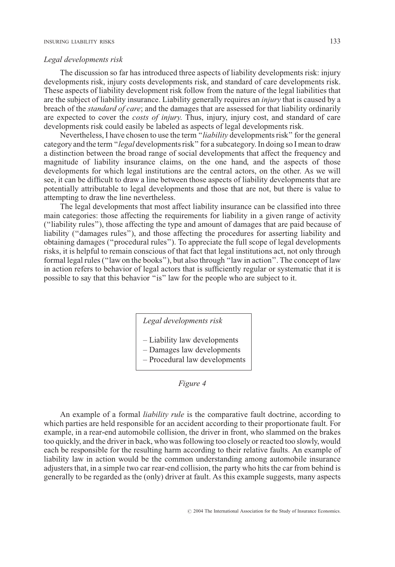#### Legal developments risk

The discussion so far has introduced three aspects of liability developments risk: injury developments risk, injury costs developments risk, and standard of care developments risk. These aspects of liability development risk follow from the nature of the legal liabilities that are the subject of liability insurance. Liability generally requires an *injury* that is caused by a breach of the standard of care; and the damages that are assessed for that liability ordinarily are expected to cover the costs of injury. Thus, injury, injury cost, and standard of care developments risk could easily be labeled as aspects of legal developments risk.

Nevertheless, I have chosen to use the term "liability developments risk" for the general category and the term "legal developments risk" for a subcategory. In doing so I mean to draw a distinction between the broad range of social developments that affect the frequency and magnitude of liability insurance claims, on the one hand, and the aspects of those developments for which legal institutions are the central actors, on the other. As we will see, it can be difficult to draw a line between those aspects of liability developments that are potentially attributable to legal developments and those that are not, but there is value to attempting to draw the line nevertheless.

The legal developments that most affect liability insurance can be classified into three main categories: those affecting the requirements for liability in a given range of activity (''liability rules''), those affecting the type and amount of damages that are paid because of liability (''damages rules''), and those affecting the procedures for asserting liability and obtaining damages (''procedural rules''). To appreciate the full scope of legal developments risks, it is helpful to remain conscious of that fact that legal institutions act, not only through formal legal rules (''law on the books''), but also through ''law in action''. The concept of law in action refers to behavior of legal actors that is sufficiently regular or systematic that it is possible to say that this behavior ''is'' law for the people who are subject to it.

*Legal developments risk*

- Liability law developments
- Damages law developments
- Procedural law developments

Figure 4

An example of a formal *liability rule* is the comparative fault doctrine, according to which parties are held responsible for an accident according to their proportionate fault. For example, in a rear-end automobile collision, the driver in front, who slammed on the brakes too quickly, and the driver in back, who was following too closely or reacted too slowly, would each be responsible for the resulting harm according to their relative faults. An example of liability law in action would be the common understanding among automobile insurance adjusters that, in a simple two car rear-end collision, the party who hits the car from behind is generally to be regarded as the (only) driver at fault. As this example suggests, many aspects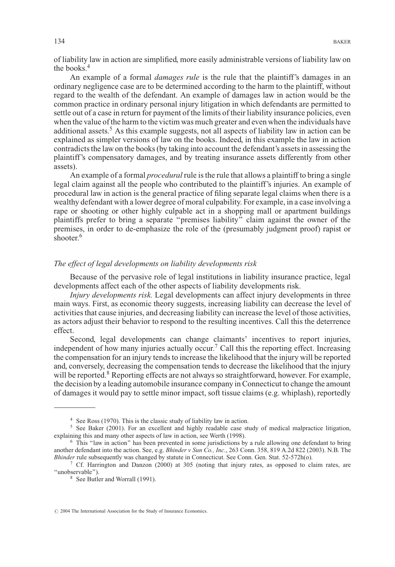of liability law in action are simplified, more easily administrable versions of liability law on the books.<sup>4</sup>

An example of a formal *damages rule* is the rule that the plaintiff's damages in an ordinary negligence case are to be determined according to the harm to the plaintiff, without regard to the wealth of the defendant. An example of damages law in action would be the common practice in ordinary personal injury litigation in which defendants are permitted to settle out of a case in return for payment of the limits of their liability insurance policies, even when the value of the harm to the victim was much greater and even when the individuals have additional assets.<sup>5</sup> As this example suggests, not all aspects of liability law in action can be explained as simpler versions of law on the books. Indeed, in this example the law in action contradicts the law on the books (by taking into account the defendant's assets in assessing the plaintiff 's compensatory damages, and by treating insurance assets differently from other assets).

An example of a formal *procedural* rule is the rule that allows a plaintiff to bring a single legal claim against all the people who contributed to the plaintiff 's injuries. An example of procedural law in action is the general practice of filing separate legal claims when there is a wealthy defendant with a lower degree of moral culpability. For example, in a case involving a rape or shooting or other highly culpable act in a shopping mall or apartment buildings plaintiffs prefer to bring a separate ''premises liability'' claim against the owner of the premises, in order to de-emphasize the role of the (presumably judgment proof) rapist or shooter.<sup>6</sup>

#### The effect of legal developments on liability developments risk

Because of the pervasive role of legal institutions in liability insurance practice, legal developments affect each of the other aspects of liability developments risk.

Injury developments risk. Legal developments can affect injury developments in three main ways. First, as economic theory suggests, increasing liability can decrease the level of activities that cause injuries, and decreasing liability can increase the level of those activities, as actors adjust their behavior to respond to the resulting incentives. Call this the deterrence effect.

Second, legal developments can change claimants' incentives to report injuries, independent of how many injuries actually occur.<sup>7</sup> Call this the reporting effect. Increasing the compensation for an injury tends to increase the likelihood that the injury will be reported and, conversely, decreasing the compensation tends to decrease the likelihood that the injury will be reported.<sup>8</sup> Reporting effects are not always so straightforward, however. For example, the decision by a leading automobile insurance company in Connecticut to change the amount of damages it would pay to settle minor impact, soft tissue claims (e.g. whiplash), reportedly

<sup>&</sup>lt;sup>4</sup> See Ross (1970). This is the classic study of liability law in action.<br><sup>5</sup> See Baker (2001). For an excellent and highly readable case study of medical malpractice litigation, explaining this and many other aspects of

 $6$  This "law in action" has been prevented in some jurisdictions by a rule allowing one defendant to bring another defendant into the action. See, e.g. Bhinder v Sun Co., Inc., 263 Conn. 358, 819 A.2d 822 (2003). N.B. The *Bhinder* rule subsequently was changed by statute in Connecticut. See Conn. Gen. Stat. 52-572h(o). <sup>7</sup> Cf. Harrington and Danzon (2000) at 305 (noting that injury rates, as opposed to claim rates, are

<sup>&</sup>quot;unobservable").<br><sup>8</sup> See Butler and Worrall (1991).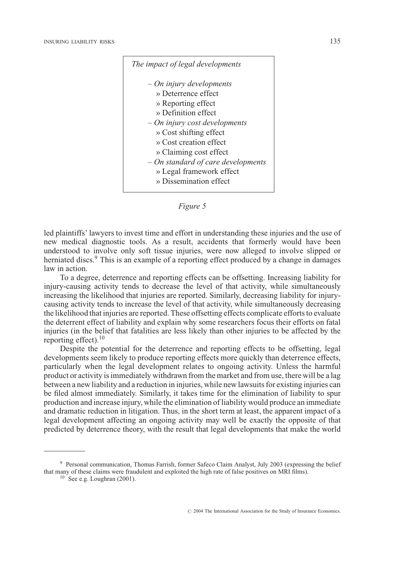

Figure 5

led plaintiffs' lawyers to invest time and effort in understanding these injuries and the use of new medical diagnostic tools. As a result, accidents that formerly would have been understood to involve only soft tissue injuries, were now alleged to involve slipped or herniated discs. $\frac{9}{9}$  This is an example of a reporting effect produced by a change in damages law in action.

To a degree, deterrence and reporting effects can be offsetting. Increasing liability for injury-causing activity tends to decrease the level of that activity, while simultaneously increasing the likelihood that injuries are reported. Similarly, decreasing liability for injurycausing activity tends to increase the level of that activity, while simultaneously decreasing the likelihood that injuries are reported. These offsetting effects complicate efforts to evaluate the deterrent effect of liability and explain why some researchers focus their efforts on fatal injuries (in the belief that fatalities are less likely than other injuries to be affected by the reporting effect).<sup>10</sup>

Despite the potential for the deterrence and reporting effects to be offsetting, legal developments seem likely to produce reporting effects more quickly than deterrence effects, particularly when the legal development relates to ongoing activity. Unless the harmful product or activity is immediately withdrawn from the market and from use, there will be a lag between a new liability and a reduction in injuries, while new lawsuits for existing injuries can be filed almost immediately. Similarly, it takes time for the elimination of liability to spur production and increase injury, while the elimination of liability would produce an immediate and dramatic reduction in litigation. Thus, in the short term at least, the apparent impact of a legal development affecting an ongoing activity may well be exactly the opposite of that predicted by deterrence theory, with the result that legal developments that make the world

<sup>9</sup> Personal communication, Thomas Farrish, former Safeco Claim Analyst, July 2003 (expressing the belief that many of these claims were fraudulent and exploited the high rate of false positives on MRI films). <sup>10</sup> See e.g. Loughran (2001).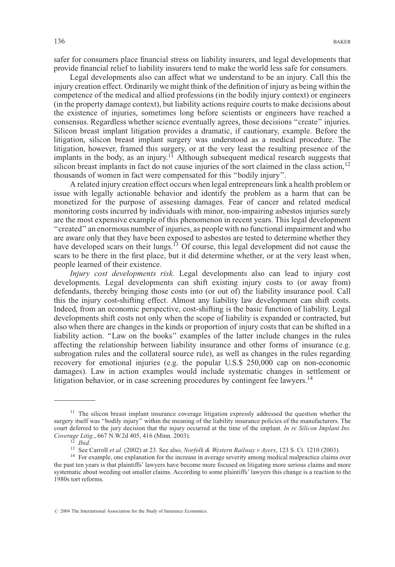safer for consumers place financial stress on liability insurers, and legal developments that provide financial relief to liability insurers tend to make the world less safe for consumers.

Legal developments also can affect what we understand to be an injury. Call this the injury creation effect. Ordinarily we might think of the definition of injury as being within the competence of the medical and allied professions (in the bodily injury context) or engineers (in the property damage context), but liability actions require courts to make decisions about the existence of injuries, sometimes long before scientists or engineers have reached a consensus. Regardless whether science eventually agrees, those decisions ''create'' injuries. Silicon breast implant litigation provides a dramatic, if cautionary, example. Before the litigation, silicon breast implant surgery was understood as a medical procedure. The litigation, however, framed this surgery, or at the very least the resulting presence of the implants in the body, as an injury.<sup>11</sup> Although subsequent medical research suggests that silicon breast implants in fact do not cause injuries of the sort claimed in the class action.<sup>12</sup> thousands of women in fact were compensated for this ''bodily injury''.

A related injury creation effect occurs when legal entrepreneurs link a health problem or issue with legally actionable behavior and identify the problem as a harm that can be monetized for the purpose of assessing damages. Fear of cancer and related medical monitoring costs incurred by individuals with minor, non-impairing asbestos injuries surely are the most expensive example of this phenomenon in recent years. This legal development ''created'' an enormous number of injuries, as people with no functional impairment and who are aware only that they have been exposed to asbestos are tested to determine whether they have developed scars on their lungs.<sup>13</sup> Of course, this legal development did not cause the scars to be there in the first place, but it did determine whether, or at the very least when, people learned of their existence.

Injury cost developments risk. Legal developments also can lead to injury cost developments. Legal developments can shift existing injury costs to (or away from) defendants, thereby bringing those costs into (or out of) the liability insurance pool. Call this the injury cost-shifting effect. Almost any liability law development can shift costs. Indeed, from an economic perspective, cost-shifting is the basic function of liability. Legal developments shift costs not only when the scope of liability is expanded or contracted, but also when there are changes in the kinds or proportion of injury costs that can be shifted in a liability action. "Law on the books" examples of the latter include changes in the rules affecting the relationship between liability insurance and other forms of insurance (e.g. subrogation rules and the collateral source rule), as well as changes in the rules regarding recovery for emotional injuries (e.g. the popular U.S.\$ 250,000 cap on non-economic damages). Law in action examples would include systematic changes in settlement or litigation behavior, or in case screening procedures by contingent fee lawyers.<sup>14</sup>

<sup>&</sup>lt;sup>11</sup> The silicon breast implant insurance coverage litigation expressly addressed the question whether the surgery itself was ''bodily injury'' within the meaning of the liability insurance policies of the manufacturers. The court deferred to the jury decision that the injury occurred at the time of the implant. In re Silicon Implant Ins. Coverage Litig., 667 N.W.2d 405, 416 (Minn. 2003).

<sup>&</sup>lt;sup>12</sup> *Ibid.*<br><sup>13</sup> See Carroll *et al.* (2002) at 23. See also, *Norfolk & Western Railway v Ayers*, 123 S. Ct. 1210 (2003).<br><sup>14</sup> For example, one explanation for the increase in average severity among medical malpractice

the past ten years is that plaintiffs' lawyers have become more focused on litigating more serious claims and more systematic about weeding out smaller claims. According to some plaintiffs' lawyers this change is a reaction to the 1980s tort reforms.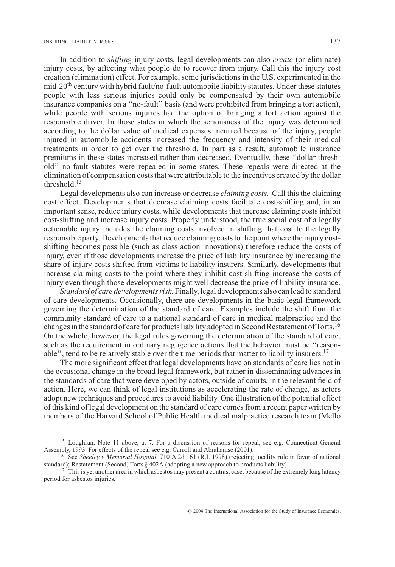In addition to *shifting* injury costs, legal developments can also *create* (or eliminate) injury costs, by affecting what people do to recover from injury. Call this the injury cost creation (elimination) effect. For example, some jurisdictions in the U.S. experimented in the mid-20<sup>th</sup> century with hybrid fault/no-fault automobile liability statutes. Under these statutes people with less serious injuries could only be compensated by their own automobile insurance companies on a ''no-fault'' basis (and were prohibited from bringing a tort action), while people with serious injuries had the option of bringing a tort action against the responsible driver. In those states in which the seriousness of the injury was determined according to the dollar value of medical expenses incurred because of the injury, people injured in automobile accidents increased the frequency and intensity of their medical treatments in order to get over the threshold. In part as a result, automobile insurance premiums in these states increased rather than decreased. Eventually, these ''dollar threshold'' no-fault statutes were repealed in some states. These repeals were directed at the elimination of compensation costs that were attributable to the incentives created by the dollar threshold.<sup>15</sup>

Legal developments also can increase or decrease *claiming costs*. Call this the claiming cost effect. Developments that decrease claiming costs facilitate cost-shifting and, in an important sense, reduce injury costs, while developments that increase claiming costs inhibit cost-shifting and increase injury costs. Properly understood, the true social cost of a legally actionable injury includes the claiming costs involved in shifting that cost to the legally responsible party. Developments that reduce claiming costs to the point where the injury costshifting becomes possible (such as class action innovations) therefore reduce the costs of injury, even if those developments increase the price of liability insurance by increasing the share of injury costs shifted from victims to liability insurers. Similarly, developments that increase claiming costs to the point where they inhibit cost-shifting increase the costs of injury even though those developments might well decrease the price of liability insurance.

Standard of care developments risk. Finally, legal developments also can lead to standard of care developments. Occasionally, there are developments in the basic legal framework governing the determination of the standard of care. Examples include the shift from the community standard of care to a national standard of care in medical malpractice and the changes in the standard of care for products liability adopted in Second Restatement of Torts.<sup>16</sup> On the whole, however, the legal rules governing the determination of the standard of care, such as the requirement in ordinary negligence actions that the behavior must be ''reasonable", tend to be relatively stable over the time periods that matter to liability insurers.<sup>17</sup>

The more significant effect that legal developments have on standards of care lies not in the occasional change in the broad legal framework, but rather in disseminating advances in the standards of care that were developed by actors, outside of courts, in the relevant field of action. Here, we can think of legal institutions as accelerating the rate of change, as actors adopt new techniques and procedures to avoid liability. One illustration of the potential effect of this kind of legal development on the standard of care comes from a recent paper written by members of the Harvard School of Public Health medical malpractice research team (Mello

<sup>&</sup>lt;sup>15</sup> Loughran, Note 11 above, at 7. For a discussion of reasons for repeal, see e.g. Connecticut General Assembly, 1993. For effects of the repeal see e.g. Carroll and Abrahamse (2001).<br><sup>16</sup> See Sheeley v Memorial Hospital, 710 A.2d 161 (R.I. 1998) (rejecting locality rule in favor of national

standard); Restatement (Second) Torts § 402A (adopting a new approach to products liability).<br><sup>17</sup> This is yet another area in which asbestos may present a contrast case, because of the extremely long latency

period for asbestos injuries.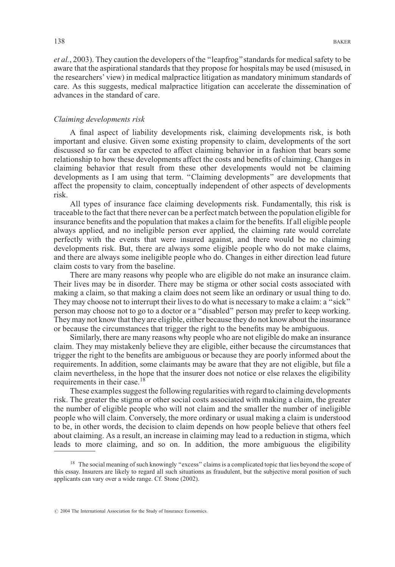et al., 2003). They caution the developers of the ''leapfrog''standards for medical safety to be aware that the aspirational standards that they propose for hospitals may be used (misused, in the researchers' view) in medical malpractice litigation as mandatory minimum standards of care. As this suggests, medical malpractice litigation can accelerate the dissemination of advances in the standard of care.

#### Claiming developments risk

A final aspect of liability developments risk, claiming developments risk, is both important and elusive. Given some existing propensity to claim, developments of the sort discussed so far can be expected to affect claiming behavior in a fashion that bears some relationship to how these developments affect the costs and benefits of claiming. Changes in claiming behavior that result from these other developments would not be claiming developments as I am using that term. "Claiming developments" are developments that affect the propensity to claim, conceptually independent of other aspects of developments risk.

All types of insurance face claiming developments risk. Fundamentally, this risk is traceable to the fact that there never can be a perfect match between the population eligible for insurance benefits and the population that makes a claim for the benefits. If all eligible people always applied, and no ineligible person ever applied, the claiming rate would correlate perfectly with the events that were insured against, and there would be no claiming developments risk. But, there are always some eligible people who do not make claims, and there are always some ineligible people who do. Changes in either direction lead future claim costs to vary from the baseline.

There are many reasons why people who are eligible do not make an insurance claim. Their lives may be in disorder. There may be stigma or other social costs associated with making a claim, so that making a claim does not seem like an ordinary or usual thing to do. They may choose not to interrupt their lives to do what is necessary to make a claim: a ''sick'' person may choose not to go to a doctor or a ''disabled'' person may prefer to keep working. They may not know that they are eligible, either because they do not know about the insurance or because the circumstances that trigger the right to the benefits may be ambiguous.

Similarly, there are many reasons why people who are not eligible do make an insurance claim. They may mistakenly believe they are eligible, either because the circumstances that trigger the right to the benefits are ambiguous or because they are poorly informed about the requirements. In addition, some claimants may be aware that they are not eligible, but file a claim nevertheless, in the hope that the insurer does not notice or else relaxes the eligibility requirements in their case.<sup>18</sup>

These examples suggest the following regularities with regard to claiming developments risk. The greater the stigma or other social costs associated with making a claim, the greater the number of eligible people who will not claim and the smaller the number of ineligible people who will claim. Conversely, the more ordinary or usual making a claim is understood to be, in other words, the decision to claim depends on how people believe that others feel about claiming. As a result, an increase in claiming may lead to a reduction in stigma, which leads to more claiming, and so on. In addition, the more ambiguous the eligibility

<sup>&</sup>lt;sup>18</sup> The social meaning of such knowingly "excess" claims is a complicated topic that lies beyond the scope of this essay. Insurers are likely to regard all such situations as fraudulent, but the subjective moral position of such applicants can vary over a wide range. Cf. Stone (2002).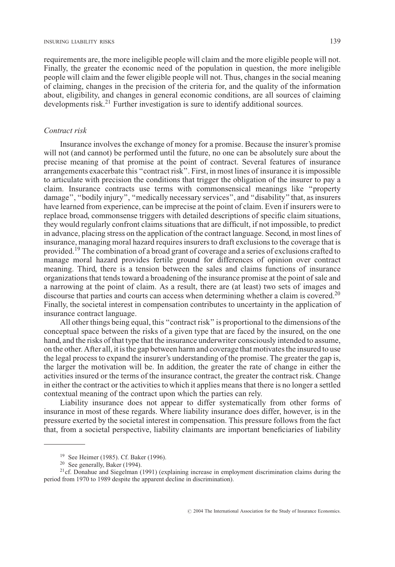requirements are, the more ineligible people will claim and the more eligible people will not. Finally, the greater the economic need of the population in question, the more ineligible people will claim and the fewer eligible people will not. Thus, changes in the social meaning of claiming, changes in the precision of the criteria for, and the quality of the information about, eligibility, and changes in general economic conditions, are all sources of claiming developments risk.<sup>21</sup> Further investigation is sure to identify additional sources.

#### Contract risk

Insurance involves the exchange of money for a promise. Because the insurer's promise will not (and cannot) be performed until the future, no one can be absolutely sure about the precise meaning of that promise at the point of contract. Several features of insurance arrangements exacerbate this ''contract risk''. First, in most lines of insurance it is impossible to articulate with precision the conditions that trigger the obligation of the insurer to pay a claim. Insurance contracts use terms with commonsensical meanings like ''property damage", "bodily injury", "medically necessary services", and "disability" that, as insurers have learned from experience, can be imprecise at the point of claim. Even if insurers were to replace broad, commonsense triggers with detailed descriptions of specific claim situations, they would regularly confront claims situations that are difficult, if not impossible, to predict in advance, placing stress on the application of the contract language. Second, in most lines of insurance, managing moral hazard requires insurers to draft exclusions to the coverage that is provided.<sup>19</sup> The combination of a broad grant of coverage and a series of exclusions crafted to manage moral hazard provides fertile ground for differences of opinion over contract meaning. Third, there is a tension between the sales and claims functions of insurance organizations that tends toward a broadening of the insurance promise at the point of sale and a narrowing at the point of claim. As a result, there are (at least) two sets of images and discourse that parties and courts can access when determining whether a claim is covered.<sup>20</sup> Finally, the societal interest in compensation contributes to uncertainty in the application of insurance contract language.

All other things being equal, this ''contract risk'' is proportional to the dimensions of the conceptual space between the risks of a given type that are faced by the insured, on the one hand, and the risks of that type that the insurance underwriter consciously intended to assume, on the other. After all, it is the gap between harm and coverage that motivates the insured to use the legal process to expand the insurer's understanding of the promise. The greater the gap is, the larger the motivation will be. In addition, the greater the rate of change in either the activities insured or the terms of the insurance contract, the greater the contract risk. Change in either the contract or the activities to which it applies means that there is no longer a settled contextual meaning of the contract upon which the parties can rely.

Liability insurance does not appear to differ systematically from other forms of insurance in most of these regards. Where liability insurance does differ, however, is in the pressure exerted by the societal interest in compensation. This pressure follows from the fact that, from a societal perspective, liability claimants are important beneficiaries of liability

<sup>&</sup>lt;sup>19</sup> See Heimer (1985). Cf. Baker (1996).<br><sup>20</sup> See generally, Baker (1994).<br><sup>21</sup>cf. Donahue and Siegelman (1991) (explaining increase in employment discrimination claims during the period from 1970 to 1989 despite the apparent decline in discrimination).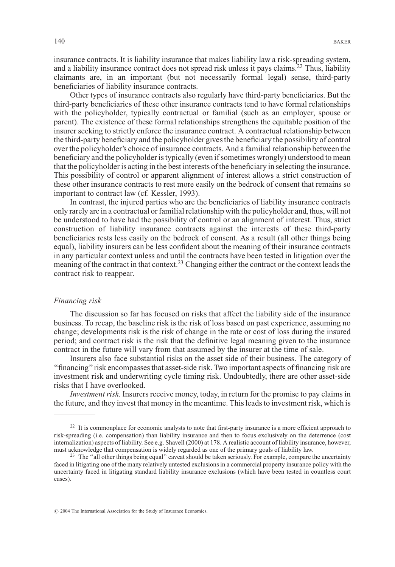insurance contracts. It is liability insurance that makes liability law a risk-spreading system, and a liability insurance contract does not spread risk unless it pays claims.<sup>22</sup> Thus, liability claimants are, in an important (but not necessarily formal legal) sense, third-party beneficiaries of liability insurance contracts.

Other types of insurance contracts also regularly have third-party beneficiaries. But the third-party beneficiaries of these other insurance contracts tend to have formal relationships with the policyholder, typically contractual or familial (such as an employer, spouse or parent). The existence of these formal relationships strengthens the equitable position of the insurer seeking to strictly enforce the insurance contract. A contractual relationship between the third-party beneficiary and the policyholder gives the beneficiary the possibility of control over the policyholder's choice of insurance contracts. And a familial relationship between the beneficiary and the policyholder is typically (even if sometimes wrongly) understood to mean that the policyholder is acting in the best interests of the beneficiary in selecting the insurance. This possibility of control or apparent alignment of interest allows a strict construction of these other insurance contracts to rest more easily on the bedrock of consent that remains so important to contract law (cf. Kessler, 1993).

In contrast, the injured parties who are the beneficiaries of liability insurance contracts only rarely are in a contractual or familial relationship with the policyholder and, thus, will not be understood to have had the possibility of control or an alignment of interest. Thus, strict construction of liability insurance contracts against the interests of these third-party beneficiaries rests less easily on the bedrock of consent. As a result (all other things being equal), liability insurers can be less confident about the meaning of their insurance contracts in any particular context unless and until the contracts have been tested in litigation over the meaning of the contract in that context.<sup>23</sup> Changing either the contract or the context leads the contract risk to reappear.

#### Financing risk

The discussion so far has focused on risks that affect the liability side of the insurance business. To recap, the baseline risk is the risk of loss based on past experience, assuming no change; developments risk is the risk of change in the rate or cost of loss during the insured period; and contract risk is the risk that the definitive legal meaning given to the insurance contract in the future will vary from that assumed by the insurer at the time of sale.

Insurers also face substantial risks on the asset side of their business. The category of ''financing'' risk encompasses that asset-side risk. Two important aspects of financing risk are investment risk and underwriting cycle timing risk. Undoubtedly, there are other asset-side risks that I have overlooked.

Investment risk. Insurers receive money, today, in return for the promise to pay claims in the future, and they invest that money in the meantime. This leads to investment risk, which is

<sup>&</sup>lt;sup>22</sup> It is commonplace for economic analysts to note that first-party insurance is a more efficient approach to risk-spreading (i.e. compensation) than liability insurance and then to focus exclusively on the deterrence (cost internalization) aspects of liability. See e.g. Shavell (2000) at 178. A realistic account of liability insurance, however, must acknowledge that compensation is widely regarded as one of the primary goals of liability law.<br><sup>23</sup> The "all other things being equal" caveat should be taken seriously. For example, compare the uncertainty

faced in litigating one of the many relatively untested exclusions in a commercial property insurance policy with the uncertainty faced in litigating standard liability insurance exclusions (which have been tested in countless court cases).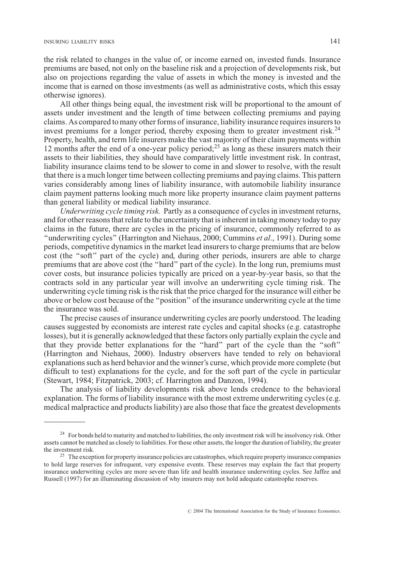the risk related to changes in the value of, or income earned on, invested funds. Insurance premiums are based, not only on the baseline risk and a projection of developments risk, but also on projections regarding the value of assets in which the money is invested and the income that is earned on those investments (as well as administrative costs, which this essay otherwise ignores).

All other things being equal, the investment risk will be proportional to the amount of assets under investment and the length of time between collecting premiums and paying claims. As compared to many other forms of insurance, liability insurance requires insurers to invest premiums for a longer period, thereby exposing them to greater investment risk.<sup>24</sup> Property, health, and term life insurers make the vast majority of their claim payments within 12 months after the end of a one-year policy period;<sup>25</sup> as long as these insurers match their assets to their liabilities, they should have comparatively little investment risk. In contrast, liability insurance claims tend to be slower to come in and slower to resolve, with the result that there is a much longer time between collecting premiums and paying claims. This pattern varies considerably among lines of liability insurance, with automobile liability insurance claim payment patterns looking much more like property insurance claim payment patterns than general liability or medical liability insurance.

Underwriting cycle timing risk. Partly as a consequence of cycles in investment returns, and for other reasons that relate to the uncertainty that is inherent in taking money today to pay claims in the future, there are cycles in the pricing of insurance, commonly referred to as ''underwriting cycles'' (Harrington and Niehaus, 2000; Cummins et al., 1991). During some periods, competitive dynamics in the market lead insurers to charge premiums that are below cost (the "soft" part of the cycle) and, during other periods, insurers are able to charge premiums that are above cost (the ''hard'' part of the cycle). In the long run, premiums must cover costs, but insurance policies typically are priced on a year-by-year basis, so that the contracts sold in any particular year will involve an underwriting cycle timing risk. The underwriting cycle timing risk is the risk that the price charged for the insurance will either be above or below cost because of the ''position'' of the insurance underwriting cycle at the time the insurance was sold.

The precise causes of insurance underwriting cycles are poorly understood. The leading causes suggested by economists are interest rate cycles and capital shocks (e.g. catastrophe losses), but it is generally acknowledged that these factors only partially explain the cycle and that they provide better explanations for the ''hard'' part of the cycle than the ''soft'' (Harrington and Niehaus, 2000). Industry observers have tended to rely on behavioral explanations such as herd behavior and the winner's curse, which provide more complete (but difficult to test) explanations for the cycle, and for the soft part of the cycle in particular (Stewart, 1984; Fitzpatrick, 2003; cf. Harrington and Danzon, 1994).

The analysis of liability developments risk above lends credence to the behavioral explanation. The forms of liability insurance with the most extreme underwriting cycles (e.g. medical malpractice and products liability) are also those that face the greatest developments

<sup>&</sup>lt;sup>24</sup> For bonds held to maturity and matched to liabilities, the only investment risk will be insolvency risk. Other assets cannot be matched as closely to liabilities. For these other assets, the longer the duration of liability, the greater the investment risk.<br><sup>25</sup> The exception for property insurance policies are catastrophes, which require property insurance companies

to hold large reserves for infrequent, very expensive events. These reserves may explain the fact that property insurance underwriting cycles are more severe than life and health insurance underwriting cycles. See Jaffee and Russell (1997) for an illuminating discussion of why insurers may not hold adequate catastrophe reserves.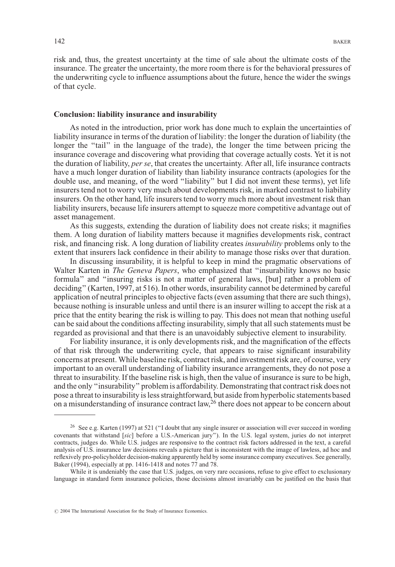risk and, thus, the greatest uncertainty at the time of sale about the ultimate costs of the insurance. The greater the uncertainty, the more room there is for the behavioral pressures of the underwriting cycle to influence assumptions about the future, hence the wider the swings of that cycle.

#### Conclusion: liability insurance and insurability

As noted in the introduction, prior work has done much to explain the uncertainties of liability insurance in terms of the duration of liability: the longer the duration of liability (the longer the "tail" in the language of the trade), the longer the time between pricing the insurance coverage and discovering what providing that coverage actually costs. Yet it is not the duration of liability, per se, that creates the uncertainty. After all, life insurance contracts have a much longer duration of liability than liability insurance contracts (apologies for the double use, and meaning, of the word ''liability'' but I did not invent these terms), yet life insurers tend not to worry very much about developments risk, in marked contrast to liability insurers. On the other hand, life insurers tend to worry much more about investment risk than liability insurers, because life insurers attempt to squeeze more competitive advantage out of asset management.

As this suggests, extending the duration of liability does not create risks; it magnifies them. A long duration of liability matters because it magnifies developments risk, contract risk, and financing risk. A long duration of liability creates insurability problems only to the extent that insurers lack confidence in their ability to manage those risks over that duration.

In discussing insurability, it is helpful to keep in mind the pragmatic observations of Walter Karten in *The Geneva Papers*, who emphasized that "insurability knows no basic formula'' and ''insuring risks is not a matter of general laws, [but] rather a problem of deciding'' (Karten, 1997, at 516). In other words, insurability cannot be determined by careful application of neutral principles to objective facts (even assuming that there are such things), because nothing is insurable unless and until there is an insurer willing to accept the risk at a price that the entity bearing the risk is willing to pay. This does not mean that nothing useful can be said about the conditions affecting insurability, simply that all such statements must be regarded as provisional and that there is an unavoidably subjective element to insurability.

For liability insurance, it is only developments risk, and the magnification of the effects of that risk through the underwriting cycle, that appears to raise significant insurability concerns at present. While baseline risk, contract risk, and investment risk are, of course, very important to an overall understanding of liability insurance arrangements, they do not pose a threat to insurability. If the baseline risk is high, then the value of insurance is sure to be high, and the only ''insurability'' problem is affordability. Demonstrating that contract risk does not pose a threat to insurability is less straightforward, but aside from hyperbolic statements based on a misunderstanding of insurance contract law,  $^{26}$  there does not appear to be concern about

<sup>&</sup>lt;sup>26</sup> See e.g. Karten (1997) at 521 ("I doubt that any single insurer or association will ever succeed in wording covenants that withstand [sic] before a U.S.-American jury"). In the U.S. legal system, juries do not interpret contracts, judges do. While U.S. judges are responsive to the contract risk factors addressed in the text, a careful analysis of U.S. insurance law decisions reveals a picture that is inconsistent with the image of lawless, ad hoc and reflexively pro-policyholder decision-making apparently held by some insurance company executives. See generally, Baker (1994), especially at pp. 1416-1418 and notes 77 and 78.

While it is undeniably the case that U.S. judges, on very rare occasions, refuse to give effect to exclusionary language in standard form insurance policies, those decisions almost invariably can be justified on the basis that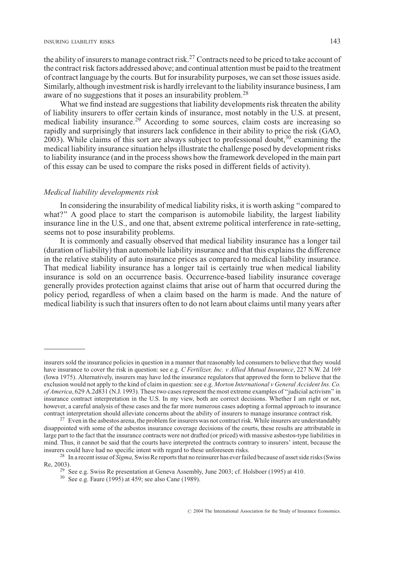the ability of insurers to manage contract risk.<sup>27</sup> Contracts need to be priced to take account of the contract risk factors addressed above; and continual attention must be paid to the treatment of contract language by the courts. But for insurability purposes, we can set those issues aside. Similarly, although investment risk is hardly irrelevant to the liability insurance business, I am aware of no suggestions that it poses an insurability problem.<sup>28</sup>

What we find instead are suggestions that liability developments risk threaten the ability of liability insurers to offer certain kinds of insurance, most notably in the U.S. at present, medical liability insurance.<sup>29</sup> According to some sources, claim costs are increasing so rapidly and surprisingly that insurers lack confidence in their ability to price the risk (GAO,  $2003$ ). While claims of this sort are always subject to professional doubt,<sup>30</sup> examining the medical liability insurance situation helps illustrate the challenge posed by development risks to liability insurance (and in the process shows how the framework developed in the main part of this essay can be used to compare the risks posed in different fields of activity).

#### Medical liability developments risk

In considering the insurability of medical liability risks, it is worth asking ''compared to what?" A good place to start the comparison is automobile liability, the largest liability insurance line in the U.S., and one that, absent extreme political interference in rate-setting, seems not to pose insurability problems.

It is commonly and casually observed that medical liability insurance has a longer tail (duration of liability) than automobile liability insurance and that this explains the difference in the relative stability of auto insurance prices as compared to medical liability insurance. That medical liability insurance has a longer tail is certainly true when medical liability insurance is sold on an occurrence basis. Occurrence-based liability insurance coverage generally provides protection against claims that arise out of harm that occurred during the policy period, regardless of when a claim based on the harm is made. And the nature of medical liability is such that insurers often to do not learn about claims until many years after

insurers sold the insurance policies in question in a manner that reasonably led consumers to believe that they would have insurance to cover the risk in question: see e.g. C Fertilizer, Inc. v Allied Mutual Insurance, 227 N.W. 2d 169 (Iowa 1975). Alternatively, insurers may have led the insurance regulators that approved the form to believe that the exclusion would not apply to the kind of claim in question: see e.g. Morton International v General Accident Ins. Co. of America, 629 A.2d831 (N.J. 1993). These two cases represent the most extreme examples of ''judicial activism'' in insurance contract interpretation in the U.S. In my view, both are correct decisions. Whether I am right or not, however, a careful analysis of these cases and the far more numerous cases adopting a formal approach to insurance contract interpretation should alleviate concerns about the ability of insurers to manage insurance contract risk.<br><sup>27</sup> Even in the asbestos arena, the problem for insurers was not contract risk. While insurers are underst

disappointed with some of the asbestos insurance coverage decisions of the courts, these results are attributable in large part to the fact that the insurance contracts were not drafted (or priced) with massive asbestos-type liabilities in mind. Thus, it cannot be said that the courts have interpreted the contracts contrary to insurers' intent, because the

insurers could have had no specific intent with regard to these unforeseen risks.<br><sup>28</sup> In a recent issue of *Sigma*, Swiss Re reports that no reinsurer has ever failed because of asset side risks (Swiss Re, 2003).

<sup>&</sup>lt;sup>29</sup> See e.g. Swiss Re presentation at Geneva Assembly, June 2003; cf. Holsboer (1995) at 410.<br><sup>30</sup> See e.g. Faure (1995) at 459; see also Cane (1989).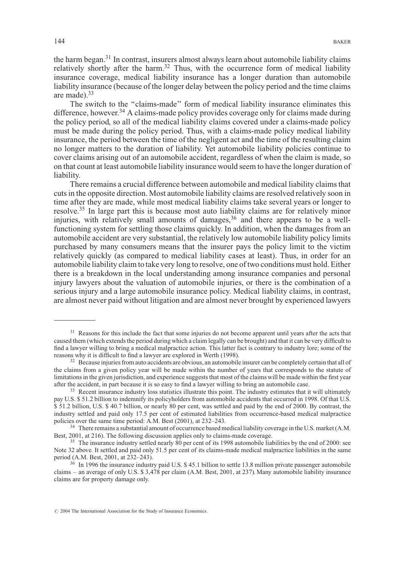the harm began.<sup>31</sup> In contrast, insurers almost always learn about automobile liability claims relatively shortly after the harm.<sup>32</sup> Thus, with the occurrence form of medical liability insurance coverage, medical liability insurance has a longer duration than automobile liability insurance (because of the longer delay between the policy period and the time claims are made).<sup>33</sup>

The switch to the ''claims-made'' form of medical liability insurance eliminates this difference, however.<sup>34</sup> A claims-made policy provides coverage only for claims made during the policy period, so all of the medical liability claims covered under a claims-made policy must be made during the policy period. Thus, with a claims-made policy medical liability insurance, the period between the time of the negligent act and the time of the resulting claim no longer matters to the duration of liability. Yet automobile liability policies continue to cover claims arising out of an automobile accident, regardless of when the claim is made, so on that count at least automobile liability insurance would seem to have the longer duration of liability.

There remains a crucial difference between automobile and medical liability claims that cuts in the opposite direction. Most automobile liability claims are resolved relatively soon in time after they are made, while most medical liability claims take several years or longer to resolve.35 In large part this is because most auto liability claims are for relatively minor injuries, with relatively small amounts of damages,  $36$  and there appears to be a wellfunctioning system for settling those claims quickly. In addition, when the damages from an automobile accident are very substantial, the relatively low automobile liability policy limits purchased by many consumers means that the insurer pays the policy limit to the victim relatively quickly (as compared to medical liability cases at least). Thus, in order for an automobile liability claim to take very long to resolve, one of two conditions must hold. Either there is a breakdown in the local understanding among insurance companies and personal injury lawyers about the valuation of automobile injuries, or there is the combination of a serious injury and a large automobile insurance policy. Medical liability claims, in contrast, are almost never paid without litigation and are almost never brought by experienced lawyers

<sup>&</sup>lt;sup>31</sup> Reasons for this include the fact that some injuries do not become apparent until years after the acts that caused them (which extends the period during which a claim legally can be brought) and that it can be very difficult to find a lawyer willing to bring a medical malpractice action. This latter fact is contrary to industry lore; some of the

reasons why it is difficult to find a lawyer are explored in Werth (1998).<br><sup>32</sup> Because injuries from auto accidents are obvious, an automobile insurer can be completely certain that all of the claims from a given policy year will be made within the number of years that corresponds to the statute of limitations in the given jurisdiction, and experience suggests that most of the claims will be made within the first year after the accident, in part because it is so easy to find a lawyer willing to bring an automobile case.<br><sup>33</sup> Recent insurance industry loss statistics illustrate this point. The industry estimates that it will ultimately

pay U.S. \$ 51.2 billion to indemnify its policyholders from automobile accidents that occurred in 1998. Of that U.S. \$ 51.2 billion, U.S. \$ 40.7 billion, or nearly 80 per cent, was settled and paid by the end of 2000. By contrast, the industry settled and paid only 17.5 per cent of estimated liabilities from occurrence-based medical malpractice

policies over the same time period: A.M. Best (2001), at 232–243.<br><sup>34</sup> There remains a substantial amount of occurrence based medical liability coverage in the U.S. market (A.M. Best, 2001, at 216). The following discussion applies only to claims-made coverage. <sup>35</sup> The insurance industry settled nearly 80 per cent of its 1998 automobile liabilities by the end of 2000: see

Note 32 above. It settled and paid only 51.5 per cent of its claims-made medical malpractice liabilities in the same period (A.M. Best, 2001, at 232–243).

 $36$  In 1996 the insurance industry paid U.S. \$ 45.1 billion to settle 13.8 million private passenger automobile claims – an average of only U.S. \$ 3,478 per claim (A.M. Best, 2001, at 237). Many automobile liability insurance claims are for property damage only.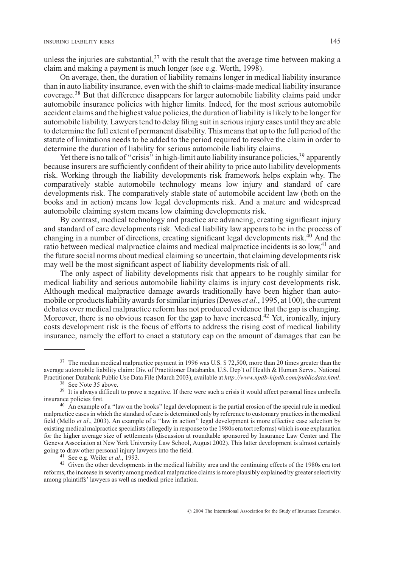unless the injuries are substantial,  $37$  with the result that the average time between making a claim and making a payment is much longer (see e.g. Werth, 1998).

On average, then, the duration of liability remains longer in medical liability insurance than in auto liability insurance, even with the shift to claims-made medical liability insurance coverage.<sup>38</sup> But that difference disappears for larger automobile liability claims paid under automobile insurance policies with higher limits. Indeed, for the most serious automobile accident claims and the highest value policies, the duration of liability is likely to be longer for automobile liability. Lawyers tend to delay filing suit in serious injury cases until they are able to determine the full extent of permanent disability. This means that up to the full period of the statute of limitations needs to be added to the period required to resolve the claim in order to determine the duration of liability for serious automobile liability claims.

Yet there is no talk of "crisis" in high-limit auto liability insurance policies,<sup>39</sup> apparently because insurers are sufficiently confident of their ability to price auto liability developments risk. Working through the liability developments risk framework helps explain why. The comparatively stable automobile technology means low injury and standard of care developments risk. The comparatively stable state of automobile accident law (both on the books and in action) means low legal developments risk. And a mature and widespread automobile claiming system means low claiming developments risk.

By contrast, medical technology and practice are advancing, creating significant injury and standard of care developments risk. Medical liability law appears to be in the process of changing in a number of directions, creating significant legal developments risk. $^{40}$  And the ratio between medical malpractice claims and medical malpractice incidents is so low,<sup>41</sup> and the future social norms about medical claiming so uncertain, that claiming developments risk may well be the most significant aspect of liability developments risk of all.

The only aspect of liability developments risk that appears to be roughly similar for medical liability and serious automobile liability claims is injury cost developments risk. Although medical malpractice damage awards traditionally have been higher than automobile or products liability awards for similar injuries (Dewes et al., 1995, at 100), the current debates over medical malpractice reform has not produced evidence that the gap is changing. Moreover, there is no obvious reason for the gap to have increased.<sup>42</sup> Yet, ironically, injury costs development risk is the focus of efforts to address the rising cost of medical liability insurance, namely the effort to enact a statutory cap on the amount of damages that can be

<sup>41</sup> See e.g. Weiler *et al.*, 1993.  $\frac{42}{4}$  Given the other developments in the medical liability area and the continuing effects of the 1980s era tort reforms, the increase in severity among medical malpractice claims is more plausibly explained by greater selectivity among plaintiffs' lawyers as well as medical price inflation.

<sup>&</sup>lt;sup>37</sup> The median medical malpractice payment in 1996 was U.S. \$72,500, more than 20 times greater than the average automobile liability claim: Div. of Practitioner Databanks, U.S. Dep't of Health & Human Servs., National Practitioner Databank Public Use Data File (March 2003), available at  $http://www.npdb-hipdb.com/publicdata.html$ .<br><sup>38</sup> See Note 35 above.<br><sup>39</sup> It is always difficult to prove a negative. If there were such a crisis it would affect personal lines u

insurance policies first. <sup>40</sup> An example of a ''law on the books'' legal development is the partial erosion of the special rule in medical

malpractice cases in which the standard of care is determined only by reference to customary practices in the medical field (Mello et al., 2003). An example of a ''law in action'' legal development is more effective case selection by existing medical malpractice specialists (allegedly in response to the 1980s era tort reforms) which is one explanation for the higher average size of settlements (discussion at roundtable sponsored by Insurance Law Center and The Geneva Association at New York University Law School, August 2002). This latter development is almost certainly going to draw other personal injury lawyers into the field.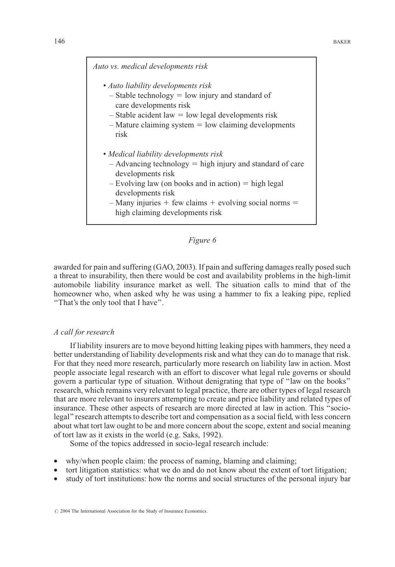*Auto vs. medical developments risk* • *Auto liability developments risk*  $-$  Stable technology  $=$  low injury and standard of care developments risk  $-$  Stable acident law  $=$  low legal developments risk  $-$  Mature claiming system  $=$  low claiming developments risk • *Medical liability developments risk*  $-$  Advancing technology  $=$  high injury and standard of care developments risk  $-$  Evolving law (on books and in action)  $=$  high legal developments risk  $-$  Many injuries  $+$  few claims  $+$  evolving social norms  $=$ high claiming developments risk

Figure 6

awarded for pain and suffering (GAO, 2003). If pain and suffering damages really posed such a threat to insurability, then there would be cost and availability problems in the high-limit automobile liability insurance market as well. The situation calls to mind that of the homeowner who, when asked why he was using a hammer to fix a leaking pipe, replied ''That's the only tool that I have''.

#### A call for research

If liability insurers are to move beyond hitting leaking pipes with hammers, they need a better understanding of liability developments risk and what they can do to manage that risk. For that they need more research, particularly more research on liability law in action. Most people associate legal research with an effort to discover what legal rule governs or should govern a particular type of situation. Without denigrating that type of ''law on the books'' research, which remains very relevant to legal practice, there are other types of legal research that are more relevant to insurers attempting to create and price liability and related types of insurance. These other aspects of research are more directed at law in action. This ''sociolegal'' research attempts to describe tort and compensation as a social field, with less concern about what tort law ought to be and more concern about the scope, extent and social meaning of tort law as it exists in the world (e.g. Saks, 1992).

Some of the topics addressed in socio-legal research include:

- why/when people claim: the process of naming, blaming and claiming;
- tort litigation statistics: what we do and do not know about the extent of tort litigation;
- study of tort institutions: how the norms and social structures of the personal injury bar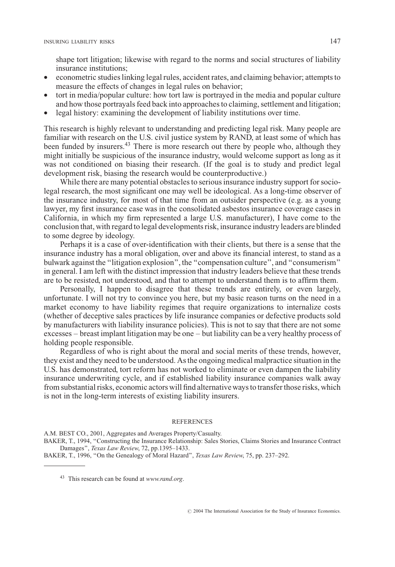shape tort litigation; likewise with regard to the norms and social structures of liability insurance institutions;

- econometric studies linking legal rules, accident rates, and claiming behavior; attempts to measure the effects of changes in legal rules on behavior;
- tort in media/popular culture: how tort law is portrayed in the media and popular culture and how those portrayals feed back into approaches to claiming, settlement and litigation;
- legal history: examining the development of liability institutions over time.

This research is highly relevant to understanding and predicting legal risk. Many people are familiar with research on the U.S. civil justice system by RAND, at least some of which has been funded by insurers.<sup>43</sup> There is more research out there by people who, although they might initially be suspicious of the insurance industry, would welcome support as long as it was not conditioned on biasing their research. (If the goal is to study and predict legal development risk, biasing the research would be counterproductive.)

While there are many potential obstacles to serious insurance industry support for sociolegal research, the most significant one may well be ideological. As a long-time observer of the insurance industry, for most of that time from an outsider perspective (e.g. as a young lawyer, my first insurance case was in the consolidated asbestos insurance coverage cases in California, in which my firm represented a large U.S. manufacturer), I have come to the conclusion that, with regard to legal developments risk, insurance industry leaders are blinded to some degree by ideology.

Perhaps it is a case of over-identification with their clients, but there is a sense that the insurance industry has a moral obligation, over and above its financial interest, to stand as a bulwark against the ''litigation explosion'', the ''compensation culture'', and ''consumerism'' in general. I am left with the distinct impression that industry leaders believe that these trends are to be resisted, not understood, and that to attempt to understand them is to affirm them.

Personally, I happen to disagree that these trends are entirely, or even largely, unfortunate. I will not try to convince you here, but my basic reason turns on the need in a market economy to have liability regimes that require organizations to internalize costs (whether of deceptive sales practices by life insurance companies or defective products sold by manufacturers with liability insurance policies). This is not to say that there are not some excesses – breast implant litigation may be one – but liability can be a very healthy process of holding people responsible.

Regardless of who is right about the moral and social merits of these trends, however, they exist and they need to be understood. As the ongoing medical malpractice situation in the U.S. has demonstrated, tort reform has not worked to eliminate or even dampen the liability insurance underwriting cycle, and if established liability insurance companies walk away from substantial risks, economic actors will find alternative ways to transfer those risks, which is not in the long-term interests of existing liability insurers.

#### **REFERENCES**

A.M. BEST CO., 2001, Aggregates and Averages Property/Casualty.

BAKER, T., 1994, ''Constructing the Insurance Relationship: Sales Stories, Claims Stories and Insurance Contract Damages'', Texas Law Review, 72, pp.1395–1433.

BAKER, T., 1996, "On the Genealogy of Moral Hazard", Texas Law Review, 75, pp. 237-292.

<sup>43</sup> This research can be found at www.rand.org.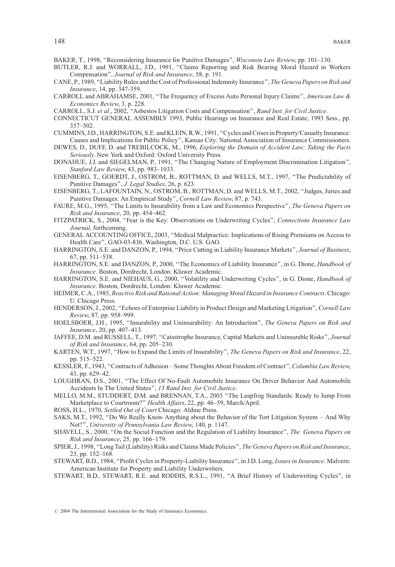BAKER, T., 1998, "Reconsidering Insurance for Punitive Damages", *Wisconsin Law Review*, pp. 101–130.

- BUTLER, R.J. and WORRALL, J.D., 1991, ''Claims Reporting and Risk Bearing Moral Hazard in Workers Compensation'', Journal of Risk and Insurance, 58, p. 191.
- CANE, P., 1989, "Liability Rules and the Cost of Professional Indemnity Insurance", The Geneva Papers on Risk and Insurance, 14, pp. 347-359.
- CARROLL and ABRAHAMSE, 2001, ''The Frequency of Excess Auto Personal Injury Claims'', American Law & Economics Review, 3, p. 228.
- CARROLL, S.J. et al., 2002, ''Asbestos Litigation Costs and Compensation'', Rand Inst. for Civil Justice.
- CONNECTICUT GENERAL ASSEMBLY 1993, Public Hearings on Insurance and Real Estate, 1993 Sess., pp. 357–502.
- CUMMINS, J.D., HARRINGTON, S.E. and KLEIN, R.W., 1991, ''Cycles and Crises in Property/Casualty Insurance: Causes and Implications for Public Policy'', Kansas City: National Association of Insurance Commissioners.
- DEWES, D., DUFF, D. and TREBILCOCK, M., 1996, Exploring the Domain of Accident Law: Taking the Facts Seriously. New York and Oxford: Oxford University Press.
- DONAHUE, J.J. and SIEGELMAN, P., 1991, ''The Changing Nature of Employment Discrimination Litigation'', Stanford Law Review, 43, pp. 983–1033.
- EISENBERG, T., GOERDT, J., OSTROM, B., ROTTMAN, D. and WELLS, M.T., 1997, ''The Predictability of Punitive Damages'', J. Legal Studies, 26, p. 623.
- EISENBERG, T., LAFOUNTAIN, N., OSTROM, B., ROTTMAN, D. and WELLS, M.T., 2002, ''Judges, Juries and Punitive Damages: An Empirical Study'', Cornell Law Review, 87, p. 743.
- FAURE, M.G., 1995, "The Limits to Insurability from a Law and Economics Perspective", The Geneva Papers on Risk and Insurance, 20, pp. 454–462.
- FITZPATRICK, S., 2004, "Fear is the Key: Observations on Underwriting Cycles", Connections Insurance Law Journal, forthcoming.
- GENERAL ACCOUNTING OFFICE, 2003, ''Medical Malpractice: Implications of Rising Premiums on Access to Health Care'', GAO-03-836. Washington, D.C. U.S. GAO.
- HARRINGTON, S.E. and DANZON, P., 1994, ''Price Cutting in Liability Insurance Markets'', Journal of Business, 67, pp. 511–538.
- HARRINGTON, S.E. and DANZON, P., 2000, "The Economics of Liability Insurance", in G. Dione, *Handbook of* Insurance. Boston, Dordrecht, London: Kluwer Academic.
- HARRINGTON, S.E. and NIEHAUS, G., 2000, ''Volatility and Underwriting Cycles'', in G. Dione, Handbook of Insurance. Boston, Dordrecht, London: Kluwer Academic.
- HEIMER, C.A., 1985, Reactive Risk and Rational Action: Managing Moral Hazard in Insurance Contracts. Chicago: U. Chicago Press.
- HENDERSON, J., 2002, ''Echoes of Enterprise Liability in Product Design and Marketing Litigation'', Cornell Law Review, 87, pp. 958–999.
- HOELSBOER, J.H., 1995, ''Insurability and Uninsurability: An Introduction'', The Geneva Papers on Risk and Insurance, 20, pp. 407–413.
- JAFFEE, D.M. and RUSSELL, T., 1997, "Catastrophe Insurance, Capital Markets and Uninsurable Risks", Journal of Risk and Insurance, 64, pp. 205–230.
- KARTEN, W.T., 1997, "How to Expand the Limits of Insurability", The Geneva Papers on Risk and Insurance, 22, pp. 515–522.
- KESSLER, F., 1943, ''Contracts of Adhesion Some Thoughts About Freedom of Contract'', Columbia Law Review, 43, pp. 629–42.
- LOUGHRAN, D.S., 2001, ''The Effect Of No-Fault Automobile Insurance On Driver Behavior And Automobile Accidents In The United States'', 13 Rand Inst. for Civil Justice.
- MELLO, M.M., STUDDERT, D.M. and BRENNAN, T.A., 2003 ''The Leapfrog Standards: Ready to Jump From Marketplace to Courtroom?'' Health Affairs, 22, pp. 46–59, March/April.
- ROSS, H.L., 1970, Settled Out of Court Chicago: Aldine Press.
- SAKS, M.T., 1992, ''Do We Really Know Anything about the Behavior of the Tort Litigation System And Why Not?'', University of Pennsylvania Law Review, 140, p. 1147.
- SHAVELL, S., 2000, "On the Social Function and the Regulation of Liability Insurance", The Geneva Papers on Risk and Insurance, 25, pp. 166–179.
- SPIER, J., 1998, "Long Tail (Liability) Risks and Claims Made Policies", The Geneva Papers on Risk and Insurance, 23, pp. 152–168.
- STEWART, B.D., 1984, ''Profit Cycles in Property-Liability Insurance'', in J.D. Long, Issues in Insurance. Malvern: American Institute for Property and Liability Underwriters.
- STEWART, B.D., STEWART, R.E. and RODDIS, R.S.L., 1991, ''A Brief History of Underwriting Cycles'', in